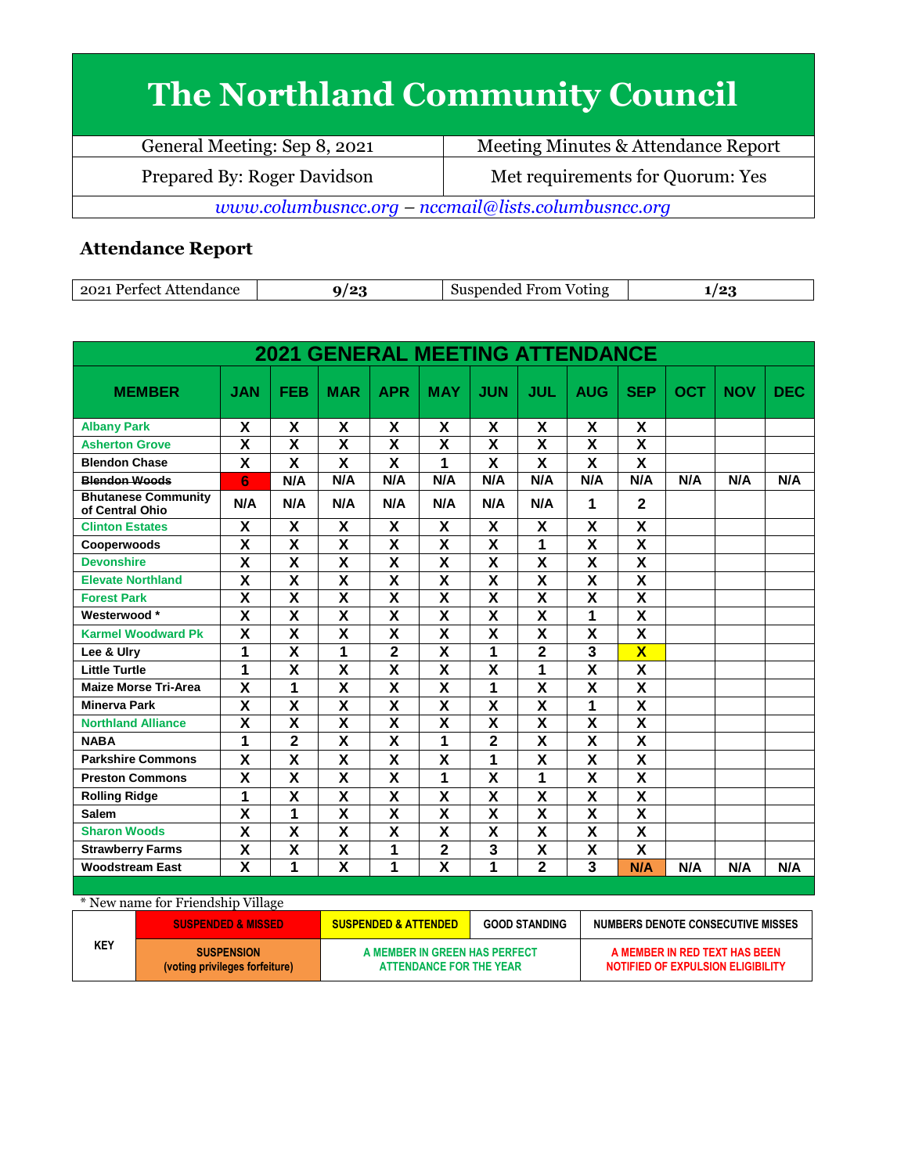## **The Northland Community Council**

| General Meeting: Sep 8, 2021                        | Meeting Minutes & Attendance Report |  |  |  |
|-----------------------------------------------------|-------------------------------------|--|--|--|
| Prepared By: Roger Davidson                         | Met requirements for Quorum: Yes    |  |  |  |
| www.columbusncc.org - nccmail@lists.columbusncc.org |                                     |  |  |  |

## **Attendance Report**

| 2021<br>Attendance<br>Perfect | 001 | From<br>Voting<br>Suspended | -<br>. |
|-------------------------------|-----|-----------------------------|--------|

| <b>2021 GENERAL MEETING ATTENDANCE</b>        |                         |                         |                         |                         |                           |                         |                         |                         |                         |     |            |            |
|-----------------------------------------------|-------------------------|-------------------------|-------------------------|-------------------------|---------------------------|-------------------------|-------------------------|-------------------------|-------------------------|-----|------------|------------|
| <b>MEMBER</b>                                 | <b>JAN</b>              | <b>FEB</b>              | <b>MAR</b>              | <b>APR</b>              | <b>MAY</b>                | <b>JUN</b>              | JUL                     | <b>AUG</b>              | <b>SEP</b>              | OCT | <b>NOV</b> | <b>DEC</b> |
| <b>Albany Park</b>                            | X                       | X                       | X                       | X                       | X                         | X                       | X                       | X                       | X                       |     |            |            |
| <b>Asherton Grove</b>                         | $\overline{\mathbf{x}}$ | $\overline{\mathbf{x}}$ | $\overline{\mathbf{x}}$ | $\overline{\mathbf{x}}$ | $\overline{\mathbf{x}}$   | $\overline{\mathbf{x}}$ | $\overline{\mathbf{x}}$ | $\overline{\mathbf{x}}$ | $\overline{\mathbf{x}}$ |     |            |            |
| <b>Blendon Chase</b>                          | X                       | X                       | X                       | X                       | 1                         | X                       | X                       | X                       | X                       |     |            |            |
| <b>Blendon Woods</b>                          | 6                       | N/A                     | N/A                     | N/A                     | N/A                       | N/A                     | N/A                     | N/A                     | N/A                     | N/A | N/A        | N/A        |
| <b>Bhutanese Community</b><br>of Central Ohio | N/A                     | N/A                     | N/A                     | N/A                     | N/A                       | N/A                     | N/A                     | 1                       | $\overline{2}$          |     |            |            |
| <b>Clinton Estates</b>                        | X                       | X                       | X                       | X                       | X                         | X                       | X                       | X                       | X                       |     |            |            |
| Cooperwoods                                   | X                       | X                       | X                       | X                       | $\overline{\mathbf{x}}$   | X                       | 1                       | X                       | $\overline{\mathsf{x}}$ |     |            |            |
| <b>Devonshire</b>                             | $\overline{\mathbf{x}}$ | $\overline{\mathsf{x}}$ | $\overline{\mathsf{x}}$ | $\overline{\mathsf{x}}$ | $\overline{\mathsf{x}}$   | $\overline{\mathsf{x}}$ | $\overline{\mathsf{x}}$ | $\overline{\mathsf{x}}$ | $\overline{\mathsf{x}}$ |     |            |            |
| <b>Elevate Northland</b>                      | X                       | X                       | X                       | X                       | X                         | X                       | X                       | X                       | X                       |     |            |            |
| <b>Forest Park</b>                            | X                       | $\overline{\mathsf{x}}$ | X                       | X                       | $\overline{\mathbf{x}}$   | X                       | $\overline{\mathbf{x}}$ | X                       | $\overline{\mathbf{x}}$ |     |            |            |
| Westerwood*                                   | $\pmb{\mathsf{X}}$      | X                       | X                       | X                       | $\boldsymbol{\mathsf{X}}$ | X                       | X                       | 1                       | X                       |     |            |            |
| <b>Karmel Woodward Pk</b>                     | X                       | X                       | X                       | $\overline{\mathsf{x}}$ | X                         | X                       | X                       | X                       | X                       |     |            |            |
| Lee & Ulry                                    | 1                       | X                       | 1                       | $\overline{2}$          | X                         | 1                       | $\overline{2}$          | 3                       | $\overline{\mathbf{X}}$ |     |            |            |
| <b>Little Turtle</b>                          | 1                       | $\overline{\mathsf{x}}$ | $\overline{\mathbf{x}}$ | $\overline{\mathsf{x}}$ | $\overline{\mathsf{x}}$   | $\overline{\mathbf{x}}$ | 1                       | $\overline{\textsf{x}}$ | $\overline{\mathsf{x}}$ |     |            |            |
| <b>Maize Morse Tri-Area</b>                   | X                       | 1                       | X                       | $\overline{\mathbf{X}}$ | $\overline{\mathbf{X}}$   | 1                       | X                       | X                       | X                       |     |            |            |
| <b>Minerva Park</b>                           | X                       | $\overline{\mathsf{x}}$ | X                       | $\overline{\mathsf{x}}$ | X                         | $\overline{\mathsf{x}}$ | $\overline{\mathsf{x}}$ | 1                       | $\overline{\mathsf{x}}$ |     |            |            |
| <b>Northland Alliance</b>                     | $\overline{\mathsf{x}}$ | $\overline{\mathsf{x}}$ | $\overline{\mathsf{x}}$ | $\overline{\mathbf{x}}$ | $\overline{\mathsf{x}}$   | $\overline{\mathsf{x}}$ | $\overline{\mathsf{x}}$ | $\overline{\mathsf{x}}$ | $\overline{\mathbf{X}}$ |     |            |            |
| <b>NABA</b>                                   | 1                       | $\overline{2}$          | X                       | X                       | 1                         | $\overline{2}$          | X                       | X                       | $\overline{\mathsf{x}}$ |     |            |            |
| <b>Parkshire Commons</b>                      | X                       | X                       | X                       | X                       | X                         | 1                       | X                       | X                       | X                       |     |            |            |
| <b>Preston Commons</b>                        | X                       | X                       | X                       | X                       | 1                         | X                       | 1                       | X                       | X                       |     |            |            |
| <b>Rolling Ridge</b>                          | $\overline{1}$          | $\overline{\mathsf{x}}$ | $\overline{\mathsf{x}}$ | $\overline{\mathsf{x}}$ | $\overline{\mathsf{x}}$   | $\overline{\mathsf{x}}$ | $\overline{\mathsf{x}}$ | $\overline{\mathsf{x}}$ | $\overline{\mathsf{x}}$ |     |            |            |
| <b>Salem</b>                                  | X                       | 1                       | X                       | X                       | X                         | X                       | X                       | X                       | X                       |     |            |            |
| <b>Sharon Woods</b>                           | $\overline{\mathsf{x}}$ | X                       | $\overline{\mathsf{x}}$ | X                       | $\overline{\mathsf{x}}$   | X                       | $\overline{\mathsf{x}}$ | X                       | $\overline{\mathsf{x}}$ |     |            |            |
| <b>Strawberry Farms</b>                       | $\overline{\mathbf{X}}$ | $\overline{\mathbf{x}}$ | $\overline{\mathsf{x}}$ | 1                       | $\overline{2}$            | $\mathbf{3}$            | $\overline{\mathsf{x}}$ | X                       | $\overline{\mathbf{x}}$ |     |            |            |
| <b>Woodstream East</b>                        | $\overline{\mathbf{x}}$ | 1                       | $\overline{\mathbf{x}}$ | 1                       | $\overline{\mathbf{x}}$   | 1                       | $\overline{2}$          | 3                       | N/A                     | N/A | N/A        | N/A        |

\* New name for Friendship Village

|     | <b>SUSPENDED &amp; MISSED</b>                       | <b>GOOD STANDING</b><br><b>SUSPENDED &amp; ATTENDED</b>  |  | NUMBERS DENOTE CONSECUTIVE MISSES                                  |
|-----|-----------------------------------------------------|----------------------------------------------------------|--|--------------------------------------------------------------------|
| KEY | <b>SUSPENSION</b><br>(voting privileges forfeiture) | A MEMBER IN GREEN HAS PERFECT<br>ATTENDANCE FOR THE YEAR |  | A MEMBER IN RED TEXT HAS BEEN<br>NOTIFIED OF EXPULSION ELIGIBILITY |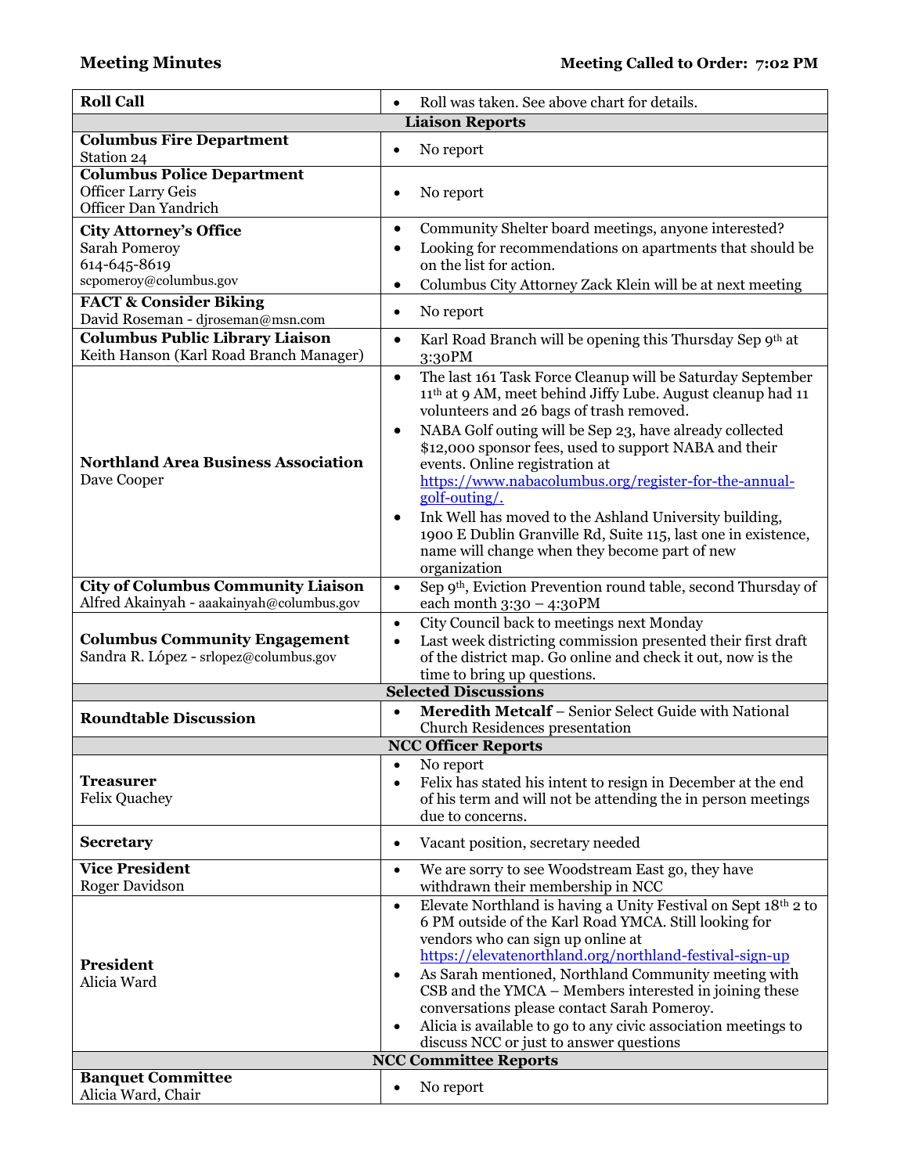| <b>Roll Call</b>                                                                                | Roll was taken. See above chart for details.                                                                                                                                                                                                                                                                                                                                                                                                                                                                                                                                                                                                         |
|-------------------------------------------------------------------------------------------------|------------------------------------------------------------------------------------------------------------------------------------------------------------------------------------------------------------------------------------------------------------------------------------------------------------------------------------------------------------------------------------------------------------------------------------------------------------------------------------------------------------------------------------------------------------------------------------------------------------------------------------------------------|
|                                                                                                 | <b>Liaison Reports</b>                                                                                                                                                                                                                                                                                                                                                                                                                                                                                                                                                                                                                               |
| <b>Columbus Fire Department</b><br>Station 24                                                   | No report<br>$\bullet$                                                                                                                                                                                                                                                                                                                                                                                                                                                                                                                                                                                                                               |
| <b>Columbus Police Department</b><br><b>Officer Larry Geis</b><br>Officer Dan Yandrich          | No report<br>$\bullet$                                                                                                                                                                                                                                                                                                                                                                                                                                                                                                                                                                                                                               |
| <b>City Attorney's Office</b><br><b>Sarah Pomeroy</b><br>614-645-8619<br>scpomeroy@columbus.gov | Community Shelter board meetings, anyone interested?<br>٠<br>Looking for recommendations on apartments that should be<br>$\bullet$<br>on the list for action.<br>Columbus City Attorney Zack Klein will be at next meeting<br>٠                                                                                                                                                                                                                                                                                                                                                                                                                      |
| <b>FACT &amp; Consider Biking</b><br>David Roseman - djroseman@msn.com                          | No report<br>$\bullet$                                                                                                                                                                                                                                                                                                                                                                                                                                                                                                                                                                                                                               |
| <b>Columbus Public Library Liaison</b><br>Keith Hanson (Karl Road Branch Manager)               | Karl Road Branch will be opening this Thursday Sep 9th at<br>$\bullet$<br>3:30PM                                                                                                                                                                                                                                                                                                                                                                                                                                                                                                                                                                     |
| <b>Northland Area Business Association</b><br>Dave Cooper                                       | The last 161 Task Force Cleanup will be Saturday September<br>$\bullet$<br>11 <sup>th</sup> at 9 AM, meet behind Jiffy Lube. August cleanup had 11<br>volunteers and 26 bags of trash removed.<br>NABA Golf outing will be Sep 23, have already collected<br>$\bullet$<br>\$12,000 sponsor fees, used to support NABA and their<br>events. Online registration at<br>https://www.nabacolumbus.org/register-for-the-annual-<br>golf-outing/.<br>Ink Well has moved to the Ashland University building,<br>$\bullet$<br>1900 E Dublin Granville Rd, Suite 115, last one in existence,<br>name will change when they become part of new<br>organization |
| <b>City of Columbus Community Liaison</b><br>Alfred Akainyah - aaakainyah@columbus.gov          | Sep 9 <sup>th</sup> , Eviction Prevention round table, second Thursday of<br>$\bullet$<br>each month $3:30 - 4:30$ PM                                                                                                                                                                                                                                                                                                                                                                                                                                                                                                                                |
| <b>Columbus Community Engagement</b><br>Sandra R. López - srlopez@columbus.gov                  | City Council back to meetings next Monday<br>$\bullet$<br>Last week districting commission presented their first draft<br>$\bullet$<br>of the district map. Go online and check it out, now is the<br>time to bring up questions.                                                                                                                                                                                                                                                                                                                                                                                                                    |
|                                                                                                 | <b>Selected Discussions</b>                                                                                                                                                                                                                                                                                                                                                                                                                                                                                                                                                                                                                          |
| <b>Roundtable Discussion</b>                                                                    | Meredith Metcalf - Senior Select Guide with National<br>$\bullet$<br><b>Church Residences presentation</b>                                                                                                                                                                                                                                                                                                                                                                                                                                                                                                                                           |
|                                                                                                 | <b>NCC Officer Reports</b>                                                                                                                                                                                                                                                                                                                                                                                                                                                                                                                                                                                                                           |
| <b>Treasurer</b><br><b>Felix Quachey</b>                                                        | No report<br>$\bullet$<br>Felix has stated his intent to resign in December at the end<br>٠<br>of his term and will not be attending the in person meetings<br>due to concerns.                                                                                                                                                                                                                                                                                                                                                                                                                                                                      |
| <b>Secretary</b>                                                                                | Vacant position, secretary needed<br>$\bullet$                                                                                                                                                                                                                                                                                                                                                                                                                                                                                                                                                                                                       |
| <b>Vice President</b><br><b>Roger Davidson</b>                                                  | We are sorry to see Woodstream East go, they have<br>$\bullet$<br>withdrawn their membership in NCC                                                                                                                                                                                                                                                                                                                                                                                                                                                                                                                                                  |
| President<br>Alicia Ward                                                                        | Elevate Northland is having a Unity Festival on Sept 18th 2 to<br>$\bullet$<br>6 PM outside of the Karl Road YMCA. Still looking for<br>vendors who can sign up online at<br>https://elevatenorthland.org/northland-festival-sign-up<br>As Sarah mentioned, Northland Community meeting with<br>$\bullet$<br>CSB and the YMCA – Members interested in joining these<br>conversations please contact Sarah Pomeroy.<br>Alicia is available to go to any civic association meetings to<br>$\bullet$<br>discuss NCC or just to answer questions                                                                                                         |
|                                                                                                 | <b>NCC Committee Reports</b>                                                                                                                                                                                                                                                                                                                                                                                                                                                                                                                                                                                                                         |
| <b>Banquet Committee</b><br>Alicia Ward, Chair                                                  | No report<br>$\bullet$                                                                                                                                                                                                                                                                                                                                                                                                                                                                                                                                                                                                                               |